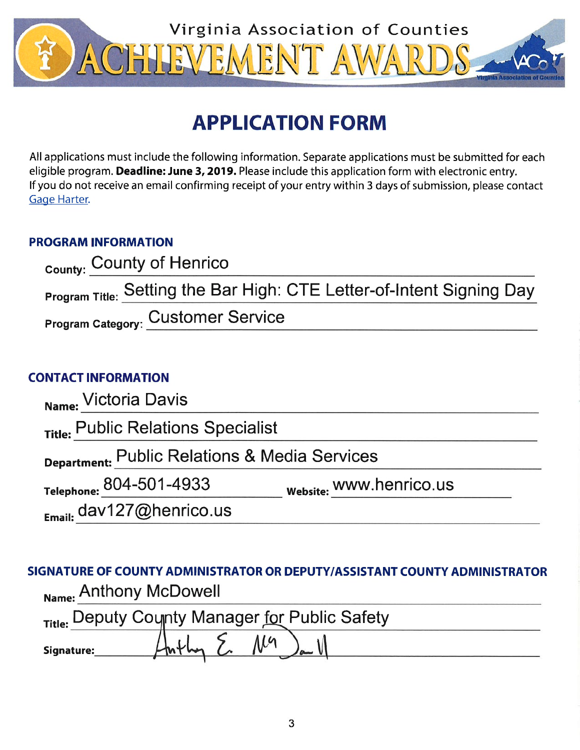

# **APPLICATION FORM**

All applications must include the following information. Separate applications must be submitted for each eligible program. Deadline: June 3, 2019. Please include this application form with electronic entry. If you do not receive an email confirming receipt of your entry within 3 days of submission, please contact Gage Harter.

# **PROGRAM INFORMATION**

| County: County of Henrico                                             |
|-----------------------------------------------------------------------|
| Program Title: Setting the Bar High: CTE Letter-of-Intent Signing Day |
| <b>Program Category: Customer Service</b>                             |

# **CONTACT INFORMATION**

| Name: Victoria Davis                          |                         |  |  |  |  |  |
|-----------------------------------------------|-------------------------|--|--|--|--|--|
| Title: Public Relations Specialist            |                         |  |  |  |  |  |
| Department: Public Relations & Media Services |                         |  |  |  |  |  |
| Telephone: 804-501-4933                       | website: WWW.henrico.us |  |  |  |  |  |
| $_{Email:}$ dav127@henrico.us                 |                         |  |  |  |  |  |

SIGNATURE OF COUNTY ADMINISTRATOR OR DEPUTY/ASSISTANT COUNTY ADMINISTRATOR Name: Anthony McDowell

| Title: Deputy County Manager for Public Safety |  |                    |  |  |  |  |
|------------------------------------------------|--|--------------------|--|--|--|--|
| Signature:                                     |  | $\rightarrow$ 11.4 |  |  |  |  |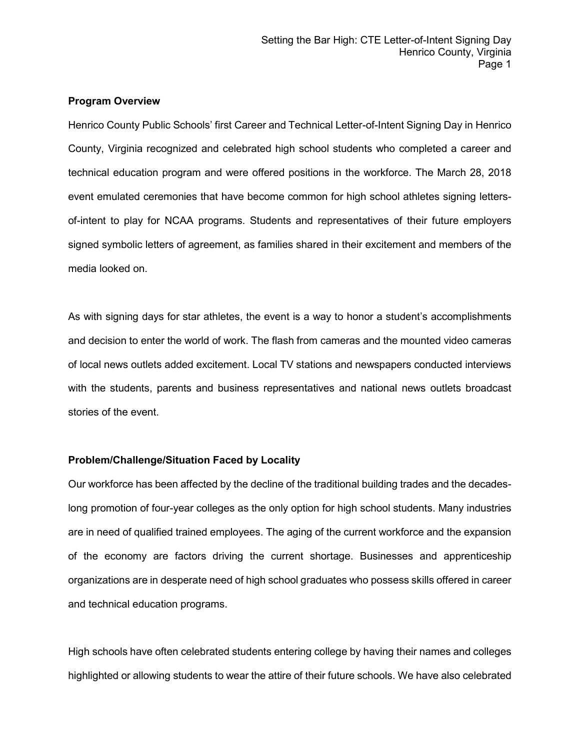## **Program Overview**

Henrico County Public Schools' first Career and Technical Letter-of-Intent Signing Day in Henrico County, Virginia recognized and celebrated high school students who completed a career and technical education program and were offered positions in the workforce. The March 28, 2018 event emulated ceremonies that have become common for high school athletes signing lettersof-intent to play for NCAA programs. Students and representatives of their future employers signed symbolic letters of agreement, as families shared in their excitement and members of the media looked on.

As with signing days for star athletes, the event is a way to honor a student's accomplishments and decision to enter the world of work. The flash from cameras and the mounted video cameras of local news outlets added excitement. Local TV stations and newspapers conducted interviews with the students, parents and business representatives and national news outlets broadcast stories of the event.

#### **Problem/Challenge/Situation Faced by Locality**

Our workforce has been affected by the decline of the traditional building trades and the decadeslong promotion of four-year colleges as the only option for high school students. Many industries are in need of qualified trained employees. The aging of the current workforce and the expansion of the economy are factors driving the current shortage. Businesses and apprenticeship organizations are in desperate need of high school graduates who possess skills offered in career and technical education programs.

High schools have often celebrated students entering college by having their names and colleges highlighted or allowing students to wear the attire of their future schools. We have also celebrated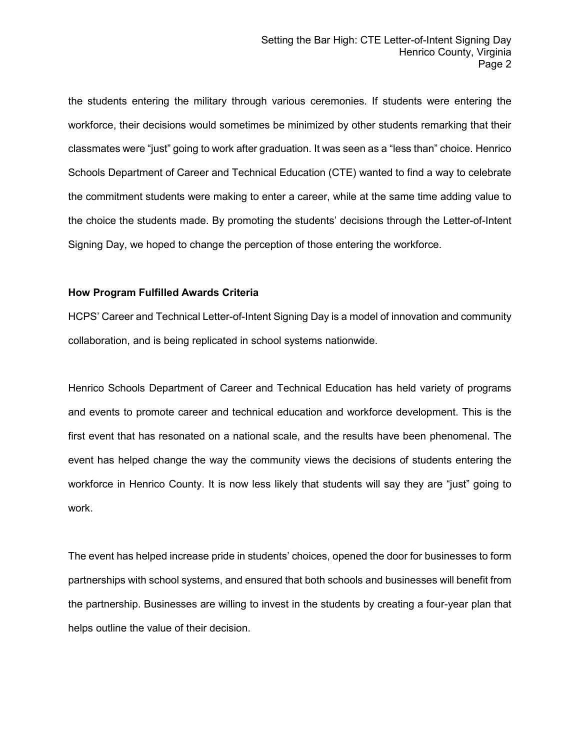the students entering the military through various ceremonies. If students were entering the workforce, their decisions would sometimes be minimized by other students remarking that their classmates were "just" going to work after graduation. It was seen as a "less than" choice. Henrico Schools Department of Career and Technical Education (CTE) wanted to find a way to celebrate the commitment students were making to enter a career, while at the same time adding value to the choice the students made. By promoting the students' decisions through the Letter-of-Intent Signing Day, we hoped to change the perception of those entering the workforce.

## **How Program Fulfilled Awards Criteria**

HCPS' Career and Technical Letter-of-Intent Signing Day is a model of innovation and community collaboration, and is being replicated in school systems nationwide.

Henrico Schools Department of Career and Technical Education has held variety of programs and events to promote career and technical education and workforce development. This is the first event that has resonated on a national scale, and the results have been phenomenal. The event has helped change the way the community views the decisions of students entering the workforce in Henrico County. It is now less likely that students will say they are "just" going to work.

The event has helped increase pride in students' choices, opened the door for businesses to form partnerships with school systems, and ensured that both schools and businesses will benefit from the partnership. Businesses are willing to invest in the students by creating a four-year plan that helps outline the value of their decision.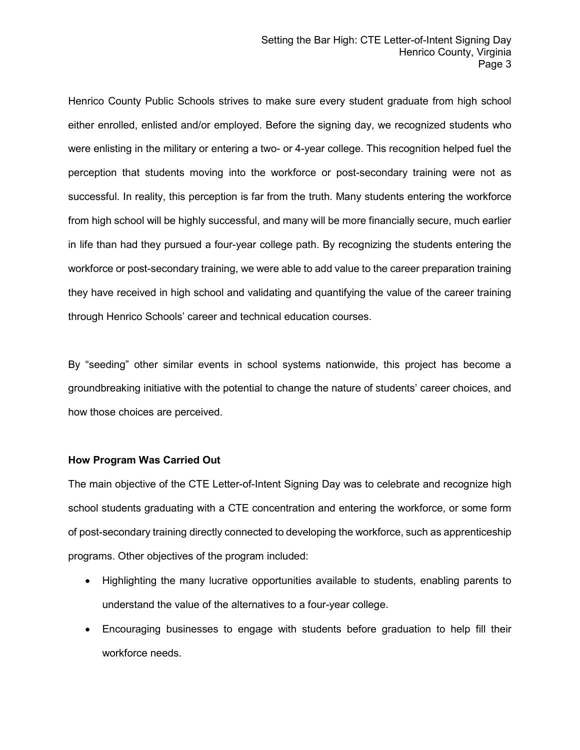Henrico County Public Schools strives to make sure every student graduate from high school either enrolled, enlisted and/or employed. Before the signing day, we recognized students who were enlisting in the military or entering a two- or 4-year college. This recognition helped fuel the perception that students moving into the workforce or post-secondary training were not as successful. In reality, this perception is far from the truth. Many students entering the workforce from high school will be highly successful, and many will be more financially secure, much earlier in life than had they pursued a four-year college path. By recognizing the students entering the workforce or post-secondary training, we were able to add value to the career preparation training they have received in high school and validating and quantifying the value of the career training through Henrico Schools' career and technical education courses.

By "seeding" other similar events in school systems nationwide, this project has become a groundbreaking initiative with the potential to change the nature of students' career choices, and how those choices are perceived.

#### **How Program Was Carried Out**

The main objective of the CTE Letter-of-Intent Signing Day was to celebrate and recognize high school students graduating with a CTE concentration and entering the workforce, or some form of post-secondary training directly connected to developing the workforce, such as apprenticeship programs. Other objectives of the program included:

- Highlighting the many lucrative opportunities available to students, enabling parents to understand the value of the alternatives to a four-year college.
- Encouraging businesses to engage with students before graduation to help fill their workforce needs.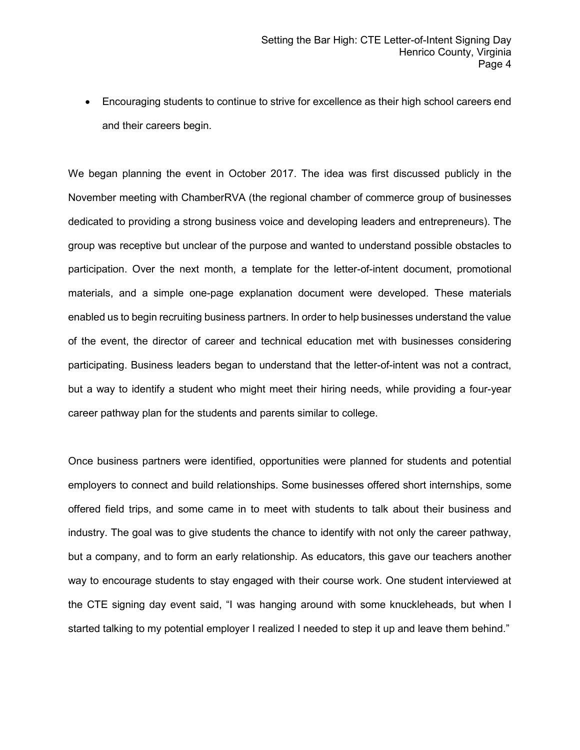• Encouraging students to continue to strive for excellence as their high school careers end and their careers begin.

We began planning the event in October 2017. The idea was first discussed publicly in the November meeting with ChamberRVA (the regional chamber of commerce group of businesses dedicated to providing a strong business voice and developing leaders and entrepreneurs). The group was receptive but unclear of the purpose and wanted to understand possible obstacles to participation. Over the next month, a template for the letter-of-intent document, promotional materials, and a simple one-page explanation document were developed. These materials enabled us to begin recruiting business partners. In order to help businesses understand the value of the event, the director of career and technical education met with businesses considering participating. Business leaders began to understand that the letter-of-intent was not a contract, but a way to identify a student who might meet their hiring needs, while providing a four-year career pathway plan for the students and parents similar to college.

Once business partners were identified, opportunities were planned for students and potential employers to connect and build relationships. Some businesses offered short internships, some offered field trips, and some came in to meet with students to talk about their business and industry. The goal was to give students the chance to identify with not only the career pathway, but a company, and to form an early relationship. As educators, this gave our teachers another way to encourage students to stay engaged with their course work. One student interviewed at the CTE signing day event said, "I was hanging around with some knuckleheads, but when I started talking to my potential employer I realized I needed to step it up and leave them behind."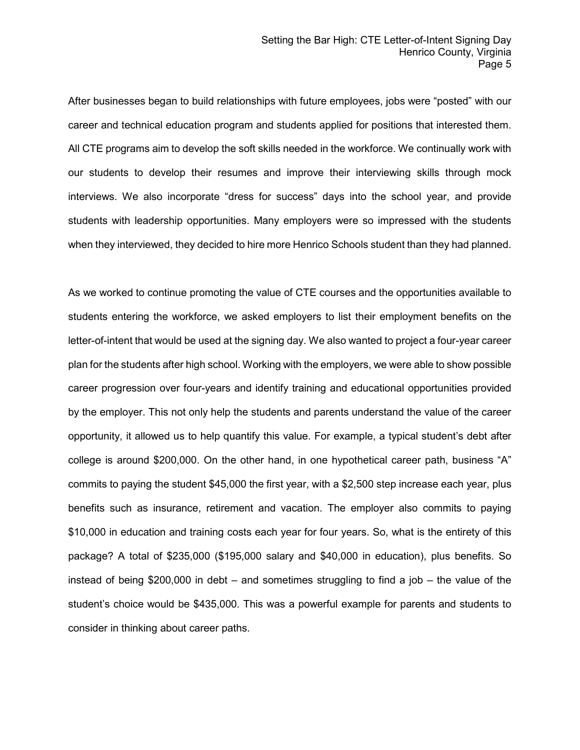After businesses began to build relationships with future employees, jobs were "posted" with our career and technical education program and students applied for positions that interested them. All CTE programs aim to develop the soft skills needed in the workforce. We continually work with our students to develop their resumes and improve their interviewing skills through mock interviews. We also incorporate "dress for success" days into the school year, and provide students with leadership opportunities. Many employers were so impressed with the students when they interviewed, they decided to hire more Henrico Schools student than they had planned.

As we worked to continue promoting the value of CTE courses and the opportunities available to students entering the workforce, we asked employers to list their employment benefits on the letter-of-intent that would be used at the signing day. We also wanted to project a four-year career plan for the students after high school. Working with the employers, we were able to show possible career progression over four-years and identify training and educational opportunities provided by the employer. This not only help the students and parents understand the value of the career opportunity, it allowed us to help quantify this value. For example, a typical student's debt after college is around \$200,000. On the other hand, in one hypothetical career path, business "A" commits to paying the student \$45,000 the first year, with a \$2,500 step increase each year, plus benefits such as insurance, retirement and vacation. The employer also commits to paying \$10,000 in education and training costs each year for four years. So, what is the entirety of this package? A total of \$235,000 (\$195,000 salary and \$40,000 in education), plus benefits. So instead of being \$200,000 in debt – and sometimes struggling to find a job – the value of the student's choice would be \$435,000. This was a powerful example for parents and students to consider in thinking about career paths.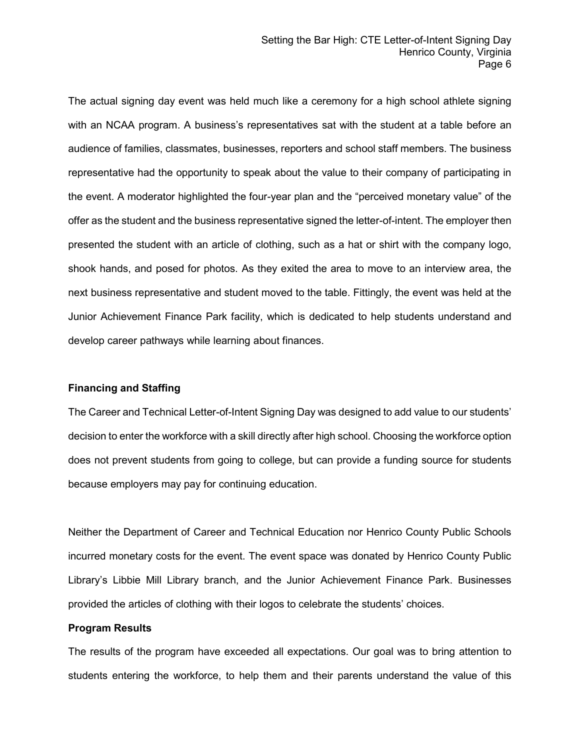The actual signing day event was held much like a ceremony for a high school athlete signing with an NCAA program. A business's representatives sat with the student at a table before an audience of families, classmates, businesses, reporters and school staff members. The business representative had the opportunity to speak about the value to their company of participating in the event. A moderator highlighted the four-year plan and the "perceived monetary value" of the offer as the student and the business representative signed the letter-of-intent. The employer then presented the student with an article of clothing, such as a hat or shirt with the company logo, shook hands, and posed for photos. As they exited the area to move to an interview area, the next business representative and student moved to the table. Fittingly, the event was held at the Junior Achievement Finance Park facility, which is dedicated to help students understand and develop career pathways while learning about finances.

## **Financing and Staffing**

The Career and Technical Letter-of-Intent Signing Day was designed to add value to our students' decision to enter the workforce with a skill directly after high school. Choosing the workforce option does not prevent students from going to college, but can provide a funding source for students because employers may pay for continuing education.

Neither the Department of Career and Technical Education nor Henrico County Public Schools incurred monetary costs for the event. The event space was donated by Henrico County Public Library's Libbie Mill Library branch, and the Junior Achievement Finance Park. Businesses provided the articles of clothing with their logos to celebrate the students' choices.

#### **Program Results**

The results of the program have exceeded all expectations. Our goal was to bring attention to students entering the workforce, to help them and their parents understand the value of this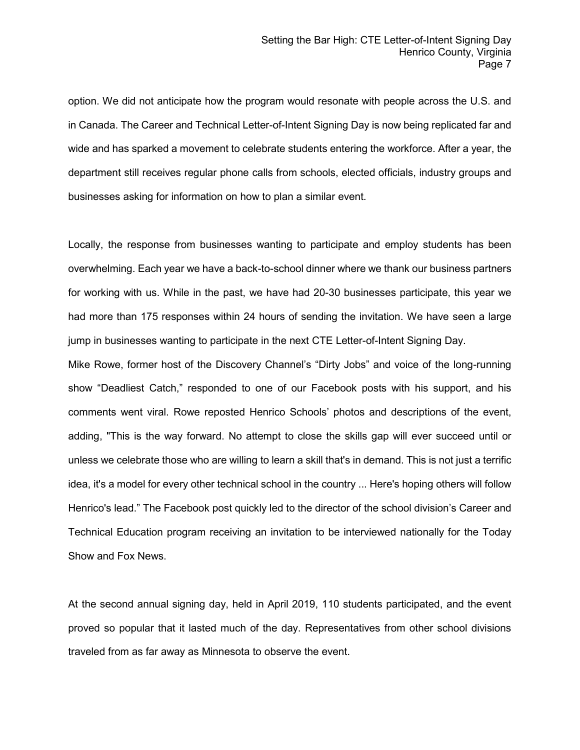option. We did not anticipate how the program would resonate with people across the U.S. and in Canada. The Career and Technical Letter-of-Intent Signing Day is now being replicated far and wide and has sparked a movement to celebrate students entering the workforce. After a year, the department still receives regular phone calls from schools, elected officials, industry groups and businesses asking for information on how to plan a similar event.

Locally, the response from businesses wanting to participate and employ students has been overwhelming. Each year we have a back-to-school dinner where we thank our business partners for working with us. While in the past, we have had 20-30 businesses participate, this year we had more than 175 responses within 24 hours of sending the invitation. We have seen a large jump in businesses wanting to participate in the next CTE Letter-of-Intent Signing Day.

Mike Rowe, former host of the Discovery Channel's "Dirty Jobs" and voice of the long-running show "Deadliest Catch," responded to one of our Facebook posts with his support, and his comments went viral. Rowe reposted Henrico Schools' photos and descriptions of the event, adding, "This is the way forward. No attempt to close the skills gap will ever succeed until or unless we celebrate those who are willing to learn a skill that's in demand. This is not just a terrific idea, it's a model for every other technical school in the country ... Here's hoping others will follow Henrico's lead." The Facebook post quickly led to the director of the school division's Career and Technical Education program receiving an invitation to be interviewed nationally for the Today Show and Fox News.

At the second annual signing day, held in April 2019, 110 students participated, and the event proved so popular that it lasted much of the day. Representatives from other school divisions traveled from as far away as Minnesota to observe the event.